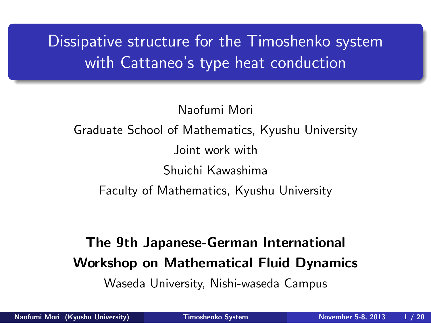Dissipative structure for the Timoshenko system with Cattaneo's type heat conduction

Naofumi Mori Graduate School of Mathematics, Kyushu University Joint work with Shuichi Kawashima Faculty of Mathematics, Kyushu University

### **The 9th Japanese-German International Workshop on Mathematical Fluid Dynamics**

Waseda University, Nishi-waseda Campus

.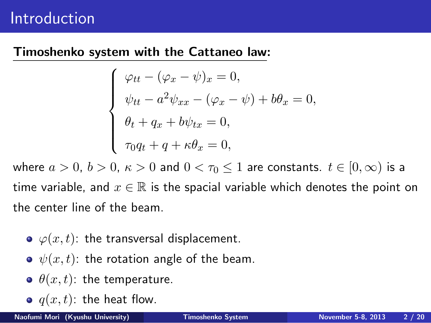### Introduction

#### **Timoshenko system with the Cattaneo law:**

$$
\begin{cases}\n\varphi_{tt} - (\varphi_x - \psi)_x = 0, \\
\psi_{tt} - a^2 \psi_{xx} - (\varphi_x - \psi) + b\theta_x = 0, \\
\theta_t + q_x + b\psi_{tx} = 0, \\
\tau_0 q_t + q + \kappa \theta_x = 0,\n\end{cases}
$$

where  $a > 0$ ,  $b > 0$ ,  $\kappa > 0$  and  $0 < \tau_0 \le 1$  are constants.  $t \in [0, \infty)$  is a time variable, and  $x \in \mathbb{R}$  is the spacial variable which denotes the point on the center line of the beam.

- $\phi(\alpha, t)$ : the transversal displacement.
- $\psi(x, t)$ : the rotation angle of the beam.
- $\theta(x, t)$ : the temperature.
- $q(x, t)$ : the heat flow.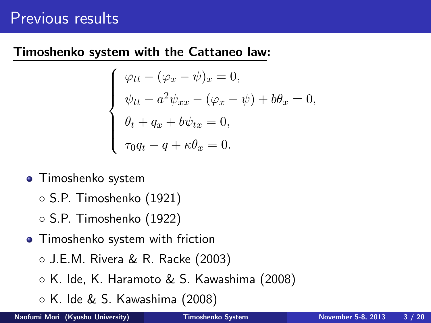# Previous results

#### **Timoshenko system with the Cattaneo law:**

$$
\begin{cases}\n\varphi_{tt} - (\varphi_x - \psi)_x = 0, \\
\psi_{tt} - a^2 \psi_{xx} - (\varphi_x - \psi) + b\theta_x = 0, \\
\theta_t + q_x + b\psi_{tx} = 0, \\
\tau_0 q_t + q + \kappa \theta_x = 0.\n\end{cases}
$$

- Timoshenko system
	- *◦* S.P. Timoshenko (1921)
	- *◦* S.P. Timoshenko (1922)
- **•** Timoshenko system with friction
	- *◦* J.E.M. Rivera & R. Racke (2003)
	- *◦* K. Ide, K. Haramoto & S. Kawashima (2008)
	- *◦* K. Ide & S. Kawashima (2008)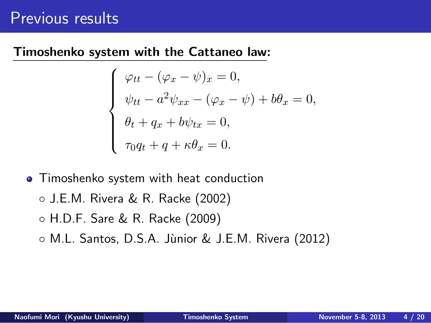### Previous results

#### **Timoshenko system with the Cattaneo law:**

$$
\begin{cases}\n\varphi_{tt} - (\varphi_x - \psi)_x = 0, \\
\psi_{tt} - a^2 \psi_{xx} - (\varphi_x - \psi) + b\theta_x = 0, \\
\theta_t + q_x + b\psi_{tx} = 0, \\
\tau_0 q_t + q + \kappa \theta_x = 0.\n\end{cases}
$$

- Timoshenko system with heat conduction
	- *◦* J.E.M. Rivera & R. Racke (2002)
	- *◦* H.D.F. Sare & R. Racke (2009)
	- *◦* M.L. Santos, D.S.A. J`unior & J.E.M. Rivera (2012)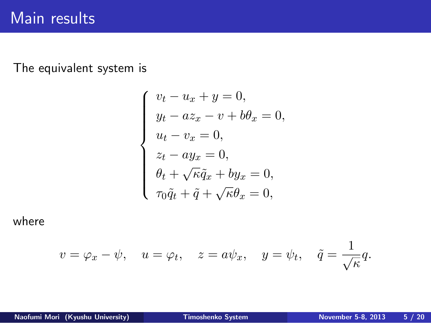The equivalent system is

$$
\begin{cases}\nv_t - u_x + y = 0, \\
y_t - a z_x - v + b \theta_x = 0, \\
u_t - v_x = 0, \\
z_t - a y_x = 0, \\
\theta_t + \sqrt{\kappa} \tilde{q}_x + b y_x = 0, \\
\tau_0 \tilde{q}_t + \tilde{q} + \sqrt{\kappa} \theta_x = 0,\n\end{cases}
$$

where

$$
v = \varphi_x - \psi
$$
,  $u = \varphi_t$ ,  $z = a\psi_x$ ,  $y = \psi_t$ ,  $\tilde{q} = \frac{1}{\sqrt{\kappa}}q$ .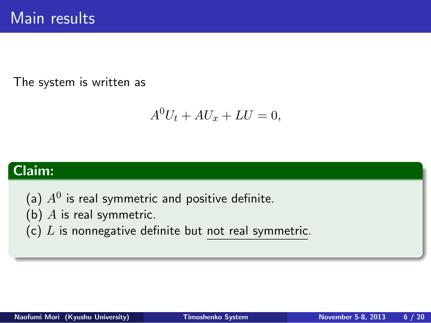The system is written as

$$
A^0U_t + AU_x + LU = 0,
$$

# . **Claim:** .

- (a)  $A^0$  is real symmetric and positive definite.
- (b) *A* is real symmetric.
- (c) *L* is nonnegative definite but not real symmetric.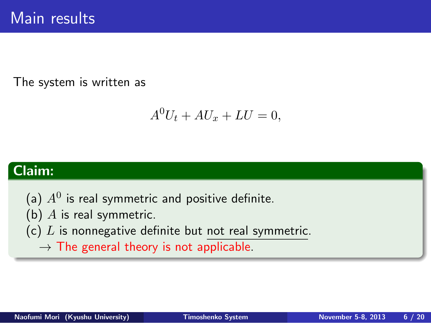The system is written as

$$
A^0U_t + AU_x + LU = 0,
$$

# . **Claim:** .

- (a)  $A^0$  is real symmetric and positive definite.
- (b) *A* is real symmetric.
- (c) *L* is nonnegative definite but not real symmetric.
	- *→* The general theory is not applicable.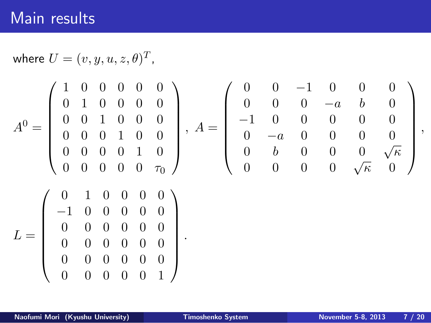where 
$$
U = (v, y, u, z, \theta)^T
$$
,  
\n
$$
A^{0} = \begin{pmatrix} 1 & 0 & 0 & 0 & 0 & 0 \\ 0 & 1 & 0 & 0 & 0 & 0 \\ 0 & 0 & 1 & 0 & 0 & 0 \\ 0 & 0 & 0 & 1 & 0 & 0 \\ 0 & 0 & 0 & 0 & 1 & 0 \\ 0 & 0 & 0 & 0 & 0 & 0 \end{pmatrix}, A = \begin{pmatrix} 0 & 0 & -1 & 0 & 0 & 0 \\ 0 & 0 & 0 & -a & b & 0 \\ -1 & 0 & 0 & 0 & 0 & 0 \\ 0 & -a & 0 & 0 & 0 & 0 \\ 0 & -a & 0 & 0 & 0 & 0 \\ 0 & b & 0 & 0 & 0 & \sqrt{\kappa} \\ 0 & 0 & 0 & 0 & \sqrt{\kappa} & 0 \end{pmatrix},
$$
\n
$$
L = \begin{pmatrix} 0 & 1 & 0 & 0 & 0 & 0 \\ -1 & 0 & 0 & 0 & 0 & 0 \\ 0 & 0 & 0 & 0 & 0 & 0 \\ 0 & 0 & 0 & 0 & 0 & 0 \\ 0 & 0 & 0 & 0 & 0 & 1 \end{pmatrix}.
$$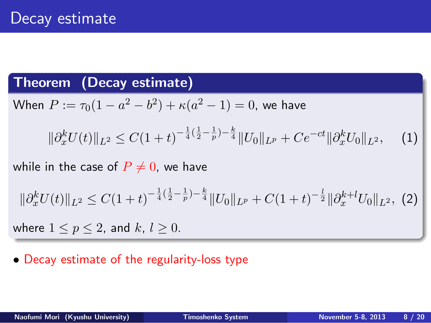### Decay estimate

#### . **Theorem (Decay estimate)** .

When  $P := \tau_0(1 - a^2 - b^2) + \kappa(a^2 - 1) = 0$ , we have  $\|\partial_x^k U(t)\|_{L^2} \leq C(1+t)^{-\frac{1}{4}(\frac{1}{2}-\frac{1}{p})-\frac{k}{4}} \|U_0\|_{L^p} + Ce^{-ct} \|\partial_x^k U_0\|_{L^2},$  (1)

while in the case of  $P \neq 0$ , we have

$$
\|\partial_x^k U(t)\|_{L^2} \le C(1+t)^{-\frac{1}{4}(\frac{1}{2}-\frac{1}{p})-\frac{k}{4}}\|U_0\|_{L^p} + C(1+t)^{-\frac{1}{2}}\|\partial_x^{k+l} U_0\|_{L^2},
$$
 (2)

where  $1 \leq p \leq 2$ , and  $k, l \geq 0$ .

*•* Decay estimate of the regularity-loss type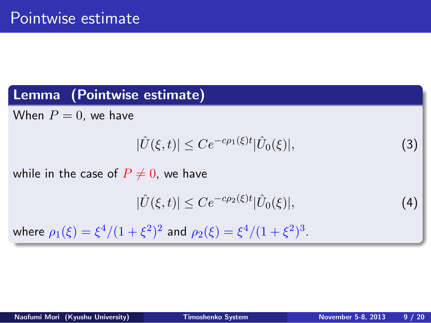### Pointwise estimate

### . **Lemma (Pointwise estimate)** . where  $\rho_1(\xi) = \xi^4/(1+\xi^2)^2$  and  $\rho_2(\xi) = \xi^4/(1+\xi^2)^3$ .  $\textsf{When} \,\, P = 0, \,\, \textsf{we} \,\, \textsf{have}$  $|\hat{U}(\xi, t)| \le Ce^{-c\rho_1(\xi)t} |\hat{U}_0(\xi)|,$  (3) while in the case of  $P \neq 0$ , we have  $|\hat{U}(\xi, t)| \le Ce^{-c\rho_2(\xi)t} |\hat{U}_0(\xi)|,$  (4)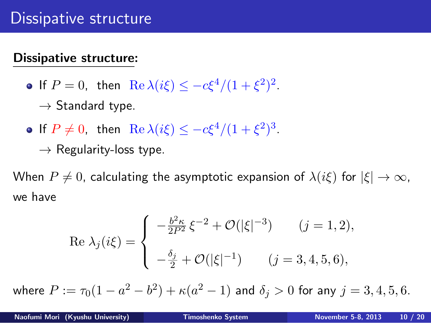### Dissipative structure

#### **Dissipative structure:**

- If  $P = 0$ , then  $\text{Re } \lambda(i\xi) \le -c\xi^4/(1+\xi^2)^2$ . *→* Standard type.
- If  $P \neq 0$ , then  $\text{Re } \lambda(i\xi) \le -c\xi^4/(1+\xi^2)^3$ . *→* Regularity-loss type.

When  $P \neq 0$ , calculating the asymptotic expansion of  $\lambda(i\xi)$  for  $|\xi| \to \infty$ , we have

Re 
$$
\lambda_j(i\xi) = \begin{cases} -\frac{b^2 \kappa}{2P^2} \xi^{-2} + \mathcal{O}(|\xi|^{-3}) & (j = 1, 2), \\ -\frac{\delta_j}{2} + \mathcal{O}(|\xi|^{-1}) & (j = 3, 4, 5, 6), \end{cases}
$$

where  $P := \tau_0(1 - a^2 - b^2) + \kappa(a^2 - 1)$  and  $\delta_j > 0$  for any  $j = 3, 4, 5, 6$ .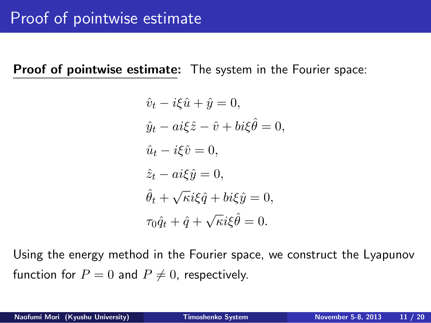# Proof of pointwise estimate

**Proof of pointwise estimate:** The system in the Fourier space:

$$
\hat{v}_t - i\xi \hat{u} + \hat{y} = 0,
$$
  
\n
$$
\hat{y}_t - ai\xi \hat{z} - \hat{v} + bi\xi \hat{\theta} = 0,
$$
  
\n
$$
\hat{u}_t - i\xi \hat{v} = 0,
$$
  
\n
$$
\hat{z}_t - ai\xi \hat{y} = 0,
$$
  
\n
$$
\hat{\theta}_t + \sqrt{\kappa} i\xi \hat{q} + bi\xi \hat{y} = 0,
$$
  
\n
$$
\tau_0 \hat{q}_t + \hat{q} + \sqrt{\kappa} i\xi \hat{\theta} = 0.
$$

Using the energy method in the Fourier space, we construct the Lyapunov function for  $P = 0$  and  $P \neq 0$ , respectively.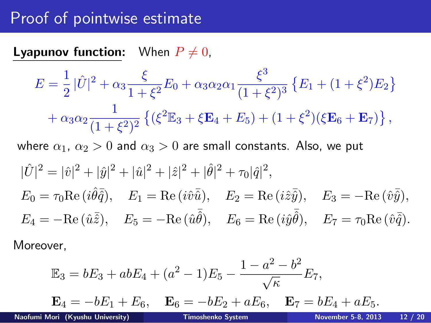# Proof of pointwise estimate

**Lyapunov function:** When  $P \neq 0$ ,

$$
E = \frac{1}{2} |\hat{U}|^2 + \alpha_3 \frac{\xi}{1 + \xi^2} E_0 + \alpha_3 \alpha_2 \alpha_1 \frac{\xi^3}{(1 + \xi^2)^3} \{E_1 + (1 + \xi^2)E_2\} + \alpha_3 \alpha_2 \frac{1}{(1 + \xi^2)^2} \{(\xi^2 \mathbb{E}_3 + \xi \mathbf{E}_4 + E_5) + (1 + \xi^2)(\xi \mathbf{E}_6 + \mathbf{E}_7)\},
$$

where  $\alpha_1, \, \alpha_2 > 0$  and  $\alpha_3 > 0$  are small constants. Also, we put

$$
|\hat{U}|^2 = |\hat{v}|^2 + |\hat{y}|^2 + |\hat{u}|^2 + |\hat{z}|^2 + |\hat{\theta}|^2 + \tau_0 |\hat{q}|^2,
$$
  
\n
$$
E_0 = \tau_0 \text{Re} (i\hat{\theta}\bar{\hat{q}}), \quad E_1 = \text{Re} (i\hat{v}\bar{\hat{u}}), \quad E_2 = \text{Re} (i\hat{z}\bar{\hat{y}}), \quad E_3 = -\text{Re} (\hat{v}\bar{\hat{y}}),
$$
  
\n
$$
E_4 = -\text{Re} (\hat{u}\bar{\hat{z}}), \quad E_5 = -\text{Re} (\hat{u}\bar{\hat{\theta}}), \quad E_6 = \text{Re} (i\hat{y}\bar{\hat{\theta}}), \quad E_7 = \tau_0 \text{Re} (\hat{v}\bar{\hat{q}}).
$$

Moreover,

$$
\mathbb{E}_{3} = bE_{3} + abE_{4} + (a^{2} - 1)E_{5} - \frac{1 - a^{2} - b^{2}}{\sqrt{\kappa}}E_{7},
$$
\n
$$
\mathbf{E}_{4} = -bE_{1} + E_{6}, \quad \mathbf{E}_{6} = -bE_{2} + aE_{6}, \quad \mathbf{E}_{7} = bE_{4} + aE_{5}.
$$
\nNaofumi Mori (Kyushu University) *Timoshenko System November 5-8, 2013* 12 / 20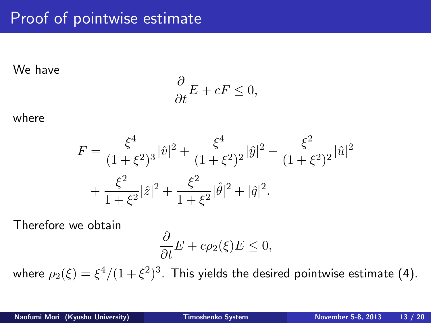# Proof of pointwise estimate

We have

$$
\frac{\partial}{\partial t}E + cF \le 0,
$$

where

$$
F = \frac{\xi^4}{(1+\xi^2)^3} |\hat{v}|^2 + \frac{\xi^4}{(1+\xi^2)^2} |\hat{y}|^2 + \frac{\xi^2}{(1+\xi^2)^2} |\hat{u}|^2
$$
  
+ 
$$
\frac{\xi^2}{1+\xi^2} |\hat{z}|^2 + \frac{\xi^2}{1+\xi^2} |\hat{\theta}|^2 + |\hat{q}|^2.
$$

Therefore we obtain

$$
\frac{\partial}{\partial t}E + c\rho_2(\xi)E \le 0,
$$

where  $\rho_2(\xi)=\xi^4/(1+\xi^2)^3$ . This yields the desired pointwise estimate (4).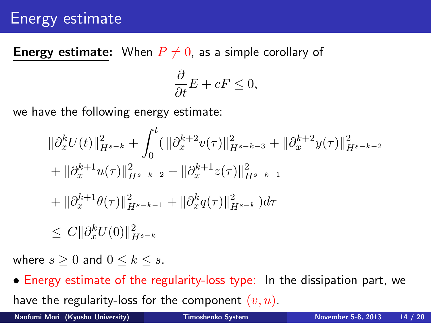### Energy estimate

**Energy estimate:** When  $P \neq 0$ , as a simple corollary of

$$
\frac{\partial}{\partial t}E + cF \le 0,
$$

we have the following energy estimate:

$$
\begin{aligned} &\|\partial_x^k U(t)\|_{H^{s-k}}^2 + \int_0^t (\|\partial_x^{k+2} v(\tau)\|_{H^{s-k-3}}^2 + \|\partial_x^{k+2} y(\tau)\|_{H^{s-k-2}}^2 \\ &+ \|\partial_x^{k+1} u(\tau)\|_{H^{s-k-2}}^2 + \|\partial_x^{k+1} z(\tau)\|_{H^{s-k-1}}^2 \\ &+ \|\partial_x^{k+1} \theta(\tau)\|_{H^{s-k-1}}^2 + \|\partial_x^k q(\tau)\|_{H^{s-k}}^2) d\tau \\ &\leq C \|\partial_x^k U(0)\|_{H^{s-k}}^2 \end{aligned}
$$

where  $s \geq 0$  and  $0 \leq k \leq s$ .

*•* Energy estimate of the regularity-loss type: In the dissipation part, we have the regularity-loss for the component (*v, u*).

**Naofumi Mori (Kyushu University) Timoshenko System November 5-8, 2013 14 / 20**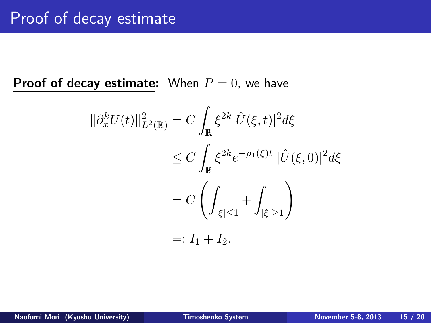**Proof of decay estimate:** When  $P = 0$ , we have

$$
\|\partial_x^k U(t)\|_{L^2(\mathbb{R})}^2 = C \int_{\mathbb{R}} \xi^{2k} |\hat{U}(\xi, t)|^2 d\xi
$$
  
\n
$$
\leq C \int_{\mathbb{R}} \xi^{2k} e^{-\rho_1(\xi)t} |\hat{U}(\xi, 0)|^2 d\xi
$$
  
\n
$$
= C \left( \int_{|\xi| \leq 1} + \int_{|\xi| \geq 1} \right)
$$
  
\n
$$
=: I_1 + I_2.
$$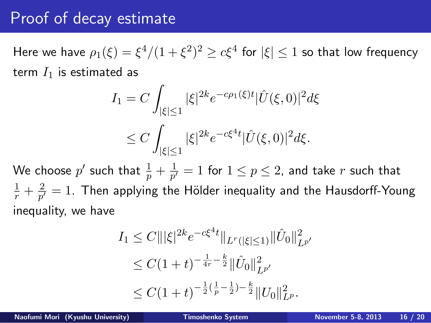Here we have  $\rho_1(\xi) = \xi^4/(1+\xi^2)^2 \geq c\xi^4$  for  $|\xi| \leq 1$  so that low frequency term  $I_1$  is estimated as

$$
I_1 = C \int_{|\xi| \le 1} |\xi|^{2k} e^{-c\rho_1(\xi)t} |\hat{U}(\xi, 0)|^2 d\xi
$$
  
 
$$
\le C \int_{|\xi| \le 1} |\xi|^{2k} e^{-c\xi^4 t} |\hat{U}(\xi, 0)|^2 d\xi.
$$

We choose  $p'$  such that  $\frac{1}{p} + \frac{1}{p'}$  $\frac{1}{p'} = 1$  for  $1 \leq p \leq 2$ , and take  $r$  such that  $\frac{1}{r} + \frac{2}{p'}$  $\frac{2}{p^{\prime}}=1.$  Then applying the Hölder inequality and the Hausdorff-Young inequality, we have

$$
I_1 \leq C \|\xi\|^{2k} e^{-c\xi^{4}t} \|_{L^{r}(|\xi|\leq 1)} \|\hat{U}_0\|_{L^{p'}}^2
$$
  
\n
$$
\leq C(1+t)^{-\frac{1}{4r} - \frac{k}{2}} \|\hat{U}_0\|_{L^{p'}}^2
$$
  
\n
$$
\leq C(1+t)^{-\frac{1}{2}(\frac{1}{p} - \frac{1}{2}) - \frac{k}{2}} \|U_0\|_{L^{p}}^2.
$$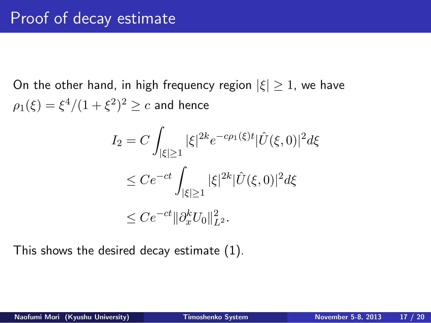On the other hand, in high frequency region *|ξ| ≥* 1, we have  $\rho_1(\xi) = \xi^4/(1+\xi^2)^2 \ge c$  and hence

$$
I_2 = C \int_{|\xi| \ge 1} |\xi|^{2k} e^{-c\rho_1(\xi)t} |\hat{U}(\xi, 0)|^2 d\xi
$$
  
\n
$$
\le C e^{-ct} \int_{|\xi| \ge 1} |\xi|^{2k} |\hat{U}(\xi, 0)|^2 d\xi
$$
  
\n
$$
\le C e^{-ct} ||\partial_x^k U_0||_{L^2}^2.
$$

This shows the desired decay estimate (1).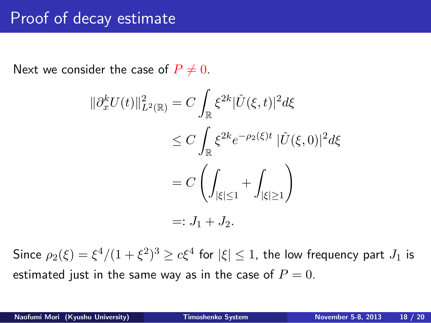Next we consider the case of  $P \neq 0$ .

$$
\begin{aligned} \|\partial_x^k U(t)\|_{L^2(\mathbb{R})}^2 &= C \int_{\mathbb{R}} \xi^{2k} |\hat{U}(\xi, t)|^2 d\xi \\ &\le C \int_{\mathbb{R}} \xi^{2k} e^{-\rho_2(\xi)t} |\hat{U}(\xi, 0)|^2 d\xi \\ &= C \left( \int_{|\xi| \le 1} + \int_{|\xi| \ge 1} \right) \\ &=: J_1 + J_2. \end{aligned}
$$

Since  $\rho_2(\xi) = \xi^4/(1+\xi^2)^3 \ge c\xi^4$  for  $|\xi| \le 1$ , the low frequency part  $J_1$  is estimated just in the same way as in the case of  $P=0$ .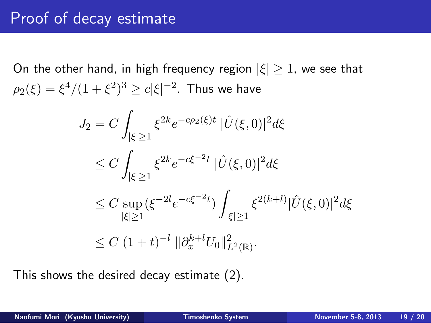On the other hand, in high frequency region *|ξ| ≥* 1, we see that  $\rho_2(\xi) = \xi^4/(1+\xi^2)^3 \ge c|\xi|^{-2}$ . Thus we have

$$
J_2 = C \int_{|\xi| \ge 1} \xi^{2k} e^{-c\rho_2(\xi)t} |\hat{U}(\xi, 0)|^2 d\xi
$$
  
\n
$$
\le C \int_{|\xi| \ge 1} \xi^{2k} e^{-c\xi^{-2}t} |\hat{U}(\xi, 0)|^2 d\xi
$$
  
\n
$$
\le C \sup_{|\xi| \ge 1} (\xi^{-2l} e^{-c\xi^{-2}t}) \int_{|\xi| \ge 1} \xi^{2(k+l)} |\hat{U}(\xi, 0)|^2 d\xi
$$
  
\n
$$
\le C (1+t)^{-l} ||\partial_x^{k+l} U_0||^2_{L^2(\mathbb{R})}.
$$

This shows the desired decay estimate (2).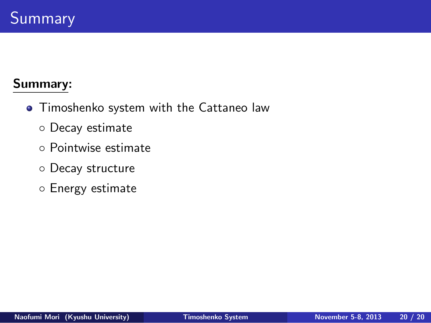### Summary

#### **Summary:**

- Timoshenko system with the Cattaneo law
	- *◦* Decay estimate
	- *◦* Pointwise estimate
	- *◦* Decay structure
	- *◦* Energy estimate